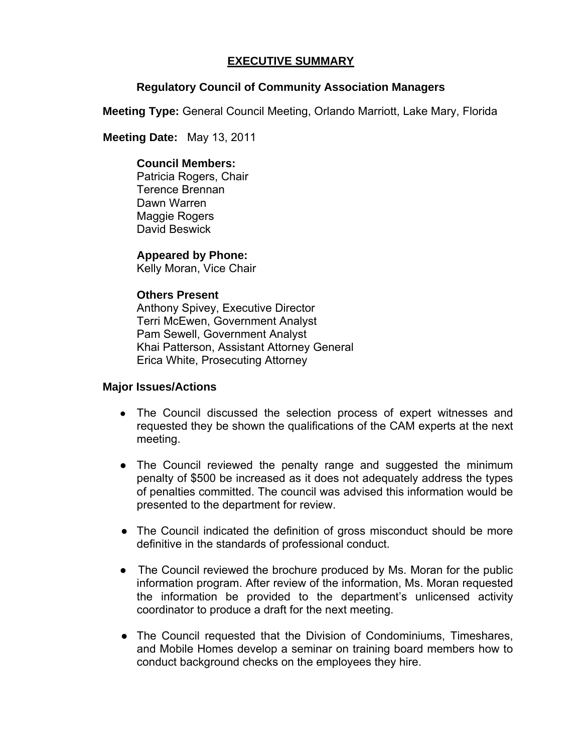# **EXECUTIVE SUMMARY**

## **Regulatory Council of Community Association Managers**

**Meeting Type:** General Council Meeting, Orlando Marriott, Lake Mary, Florida

 **Meeting Date:** May 13, 2011

#### **Council Members:**

Patricia Rogers, Chair Terence Brennan Dawn Warren Maggie Rogers David Beswick

**Appeared by Phone:** Kelly Moran, Vice Chair

## **Others Present**

Anthony Spivey, Executive Director Terri McEwen, Government Analyst Pam Sewell, Government Analyst Khai Patterson, Assistant Attorney General Erica White, Prosecuting Attorney

#### **Major Issues/Actions**

- The Council discussed the selection process of expert witnesses and requested they be shown the qualifications of the CAM experts at the next meeting.
- The Council reviewed the penalty range and suggested the minimum penalty of \$500 be increased as it does not adequately address the types of penalties committed. The council was advised this information would be presented to the department for review.
- The Council indicated the definition of gross misconduct should be more definitive in the standards of professional conduct.
- The Council reviewed the brochure produced by Ms. Moran for the public information program. After review of the information, Ms. Moran requested the information be provided to the department's unlicensed activity coordinator to produce a draft for the next meeting.
- The Council requested that the Division of Condominiums, Timeshares, and Mobile Homes develop a seminar on training board members how to conduct background checks on the employees they hire.